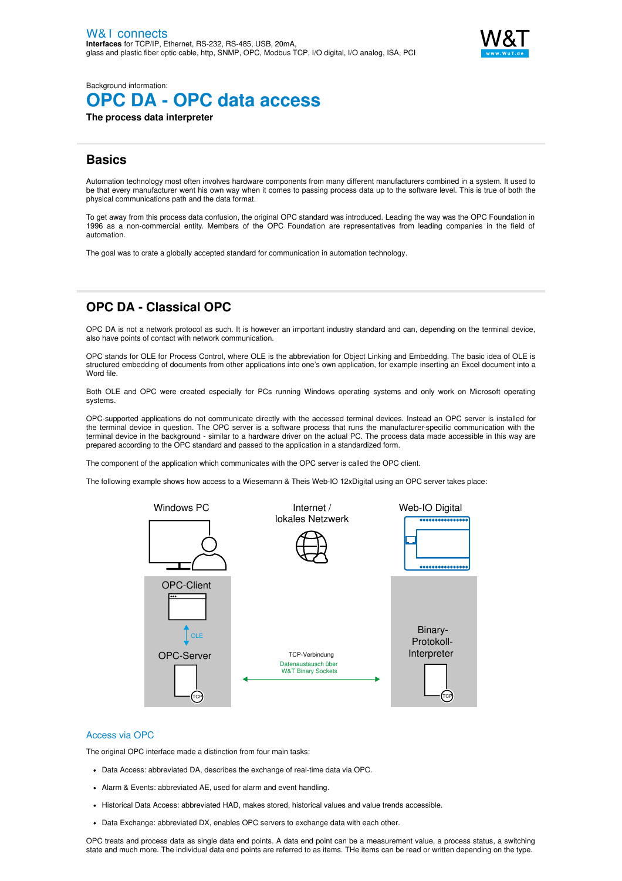

Background information:

# **OPC DA - OPC data access**

**The process data interpreter**

# **Basics**

Automation technology most often involves hardware components from many different manufacturers combined in a system. It used to be that every manufacturer went his own way when it comes to passing process data up to the software level. This is true of both the physical communications path and the data format.

To get away from this process data confusion, the original OPC standard was introduced. Leading the way was the OPC Foundation in 1996 as a non-commercial entity. Members of the OPC Foundation are representatives from leading companies in the field of automation.

The goal was to crate a globally accepted standard for communication in automation technology.

# **OPC DA - Classical OPC**

OPC DA is not a network protocol as such. It is however an important industry standard and can, depending on the terminal device, also have points of contact with network communication.

OPC stands for OLE for Process Control, where OLE is the abbreviation for Object Linking and Embedding. The basic idea of OLE is structured embedding of documents from other applications into one's own application, for example inserting an Excel document into a Word file.

Both OLE and OPC were created especially for PCs running Windows operating systems and only work on Microsoft operating systems.

OPC-supported applications do not communicate directly with the accessed terminal devices. Instead an OPC server is installed for the terminal device in question. The OPC server is a software process that runs the manufacturer-specific communication with the terminal device in the background - similar to a hardware driver on the actual PC. The process data made accessible in this way are prepared according to the OPC standard and passed to the application in a standardized form.

The component of the application which communicates with the OPC server is called the OPC client.

The following example shows how access to a Wiesemann & Theis Web-IO 12xDigital using an OPC server takes place:



#### Access via OPC

The original OPC interface made a distinction from four main tasks:

- Data Access: abbreviated DA, describes the exchange of real-time data via OPC.
- Alarm & Events: abbreviated AE, used for alarm and event handling.
- Historical Data Access: abbreviated HAD, makes stored, historical values and value trends accessible.
- Data Exchange: abbreviated DX, enables OPC servers to exchange data with each other.

OPC treats and process data as single data end points. A data end point can be a measurement value, a process status, a switching state and much more. The individual data end points are referred to as items. THe items can be read or written depending on the type.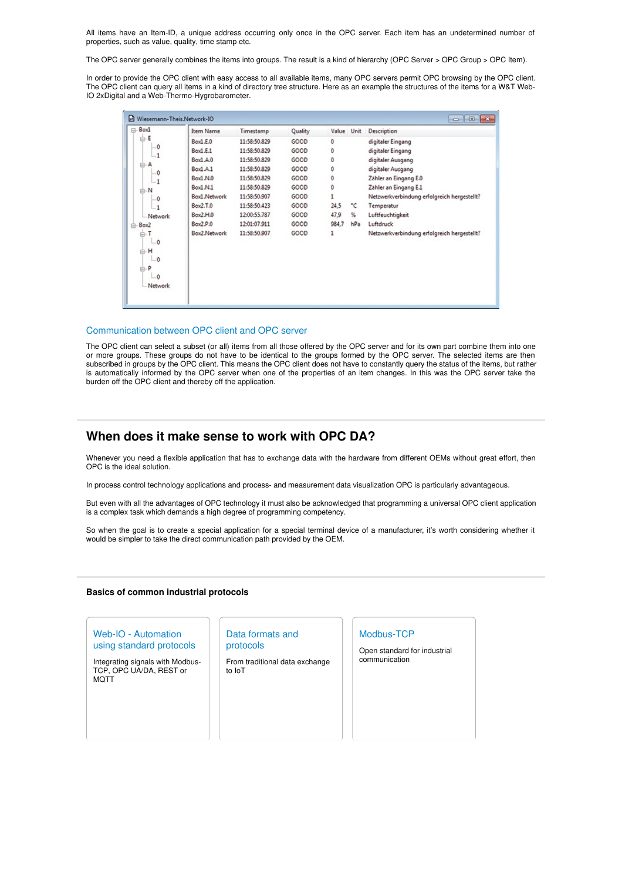All items have an Item-ID, a unique address occurring only once in the OPC server. Each item has an undetermined number of properties, such as value, quality, time stamp etc.

The OPC server generally combines the items into groups. The result is a kind of hierarchy (OPC Server > OPC Group > OPC Item).

In order to provide the OPC client with easy access to all available items, many OPC servers permit OPC browsing by the OPC client. The OPC client can query all items in a kind of directory tree structure. Here as an example the structures of the items for a W&T Web-IO 2xDigital and a Web-Thermo-Hygrobarometer.

| Wiesemann-Theis.Network-IO<br>$-x$                                 |              |              |         |            |     |                                             |
|--------------------------------------------------------------------|--------------|--------------|---------|------------|-----|---------------------------------------------|
| ⊟-Box1                                                             | Item Name    | Timestamp    | Quality | Value Unit |     | Description                                 |
| $\bigoplus_{n=1}^{\infty}$                                         | Box1.E.O     | 11:58:50.829 | GOOD    | Ō          |     | digitaler Eingang                           |
| $-0$<br>$-1$                                                       | Box1.E.1     | 11:58:50.829 | GOOD    | 0          |     | digitaler Eingang                           |
| A                                                                  | Box.A.0      | 11:58:50.829 | GOOD    | 0          |     | digitaler Ausgang                           |
| ė.<br>-0                                                           | Box1.A.1     | 11:58:50.829 | GOOD    | Ō          |     | digitaler Ausgang                           |
| $-1$                                                               | Box1.N.0     | 11:58:50.829 | GOOD    | 0          |     | Zähler an Eingang E.0                       |
| -N<br>ė                                                            | Box1.N.1     | 11:58:50.829 | GOOD    | Ō          |     | Zähler an Eingang E.1                       |
| $-0$                                                               | Box1.Network | 11:58:50.907 | GOOD    |            |     | Netzwerkverbindung erfolgreich hergestellt? |
| $-1$                                                               | Box2.T.0     | 11:58:50.423 | GOOD    | 24,5       | ۰c  | Temperatur                                  |
| Network                                                            | Box2.H.0     | 12:00:55.787 | GOOD    | 47,9       | %   | Luftfeuchtigkeit                            |
| <b>Box2</b>                                                        | Box2.P.0     | 12:01:07.911 | GOOD    | 984,7      | hPa | Luftdruck                                   |
| Ėŀ<br>$\ddot{\mathbf{0}}$<br>н<br>$\Omega$<br>p<br>$-0$<br>Network | Box2.Network | 11:58:50.907 | GOOD    | 1          |     | Netzwerkverbindung erfolgreich hergestellt? |
|                                                                    |              |              |         |            |     |                                             |

#### Communication between OPC client and OPC server

The OPC client can select a subset (or all) items from all those offered by the OPC server and for its own part combine them into one or more groups. These groups do not have to be identical to the groups formed by the OPC server. The selected items are then subscribed in groups by the OPC client. This means the OPC client does not have to constantly query the status of the items, but rather is automatically informed by the OPC server when one of the properties of an item changes. In this was the OPC server take the burden off the OPC client and thereby off the application.

# **When does it make sense to work with OPC DA?**

Whenever you need a flexible application that has to exchange data with the hardware from different OEMs without great effort, then OPC is the ideal solution.

In process control technology applications and process- and measurement data visualization OPC is particularly advantageous.

But even with all the advantages of OPC technology it must also be acknowledged that programming a universal OPC client application is a complex task which demands a high degree of programming competency.

So when the goal is to create a special application for a special terminal device of a manufacturer, it's worth considering whether it would be simpler to take the direct communication path provided by the OEM.

#### **Basics of common industrial protocols**

## Web-IO - Automation using standard protocols

Integrating signals with Modbus-TCP, OPC UA/DA, REST or **MOTT** 

#### Data formats and protocols

From traditional data exchange to IoT

#### Modbus-TCP

Open standard for industrial communication